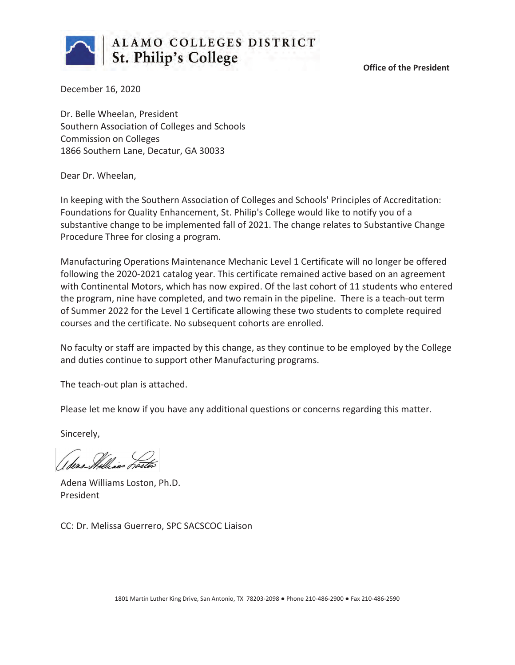

**Office of the President**

December 16, 2020

Dr. Belle Wheelan, President Southern Association of Colleges and Schools Commission on Colleges 1866 Southern Lane, Decatur, GA 30033

Dear Dr. Wheelan,

In keeping with the Southern Association of Colleges and Schools' Principles of Accreditation: Foundations for Quality Enhancement, St. Philip's College would like to notify you of a substantive change to be implemented fall of 2021. The change relates to Substantive Change Procedure Three for closing a program.

Manufacturing Operations Maintenance Mechanic Level 1 Certificate will no longer be offered following the 2020-2021 catalog year. This certificate remained active based on an agreement with Continental Motors, which has now expired. Of the last cohort of 11 students who entered the program, nine have completed, and two remain in the pipeline. There is a teach-out term of Summer 2022 for the Level 1 Certificate allowing these two students to complete required courses and the certificate. No subsequent cohorts are enrolled.

No faculty or staff are impacted by this change, as they continue to be employed by the College and duties continue to support other Manufacturing programs.

The teach-out plan is attached.

Please let me know if you have any additional questions or concerns regarding this matter.

Sincerely,

Adena Williams Loston, Ph.D. President

CC: Dr. Melissa Guerrero, SPC SACSCOC Liaison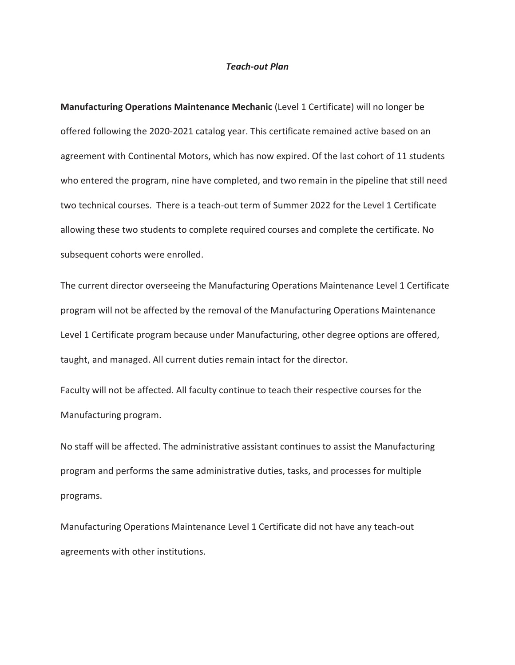### *Teach-out Plan*

**Manufacturing Operations Maintenance Mechanic** (Level 1 Certificate) will no longer be offered following the 2020-2021 catalog year. This certificate remained active based on an agreement with Continental Motors, which has now expired. Of the last cohort of 11 students who entered the program, nine have completed, and two remain in the pipeline that still need two technical courses. There is a teach-out term of Summer 2022 for the Level 1 Certificate allowing these two students to complete required courses and complete the certificate. No subsequent cohorts were enrolled.

The current director overseeing the Manufacturing Operations Maintenance Level 1 Certificate program will not be affected by the removal of the Manufacturing Operations Maintenance Level 1 Certificate program because under Manufacturing, other degree options are offered, taught, and managed. All current duties remain intact for the director.

Faculty will not be affected. All faculty continue to teach their respective courses for the Manufacturing program.

No staff will be affected. The administrative assistant continues to assist the Manufacturing program and performs the same administrative duties, tasks, and processes for multiple programs.

Manufacturing Operations Maintenance Level 1 Certificate did not have any teach-out agreements with other institutions.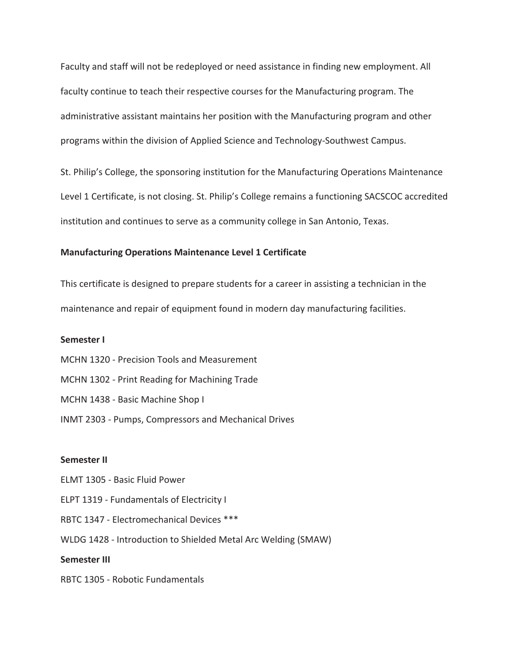Faculty and staff will not be redeployed or need assistance in finding new employment. All faculty continue to teach their respective courses for the Manufacturing program. The administrative assistant maintains her position with the Manufacturing program and other programs within the division of Applied Science and Technology-Southwest Campus.

St. Philip's College, the sponsoring institution for the Manufacturing Operations Maintenance Level 1 Certificate, is not closing. St. Philip's College remains a functioning SACSCOC accredited institution and continues to serve as a community college in San Antonio, Texas.

#### **Manufacturing Operations Maintenance Level 1 Certificate**

This certificate is designed to prepare students for a career in assisting a technician in the maintenance and repair of equipment found in modern day manufacturing facilities.

#### **Semester I**

- MCHN 1320 Precision Tools and Measurement
- MCHN 1302 Print Reading for Machining Trade
- MCHN 1438 Basic Machine Shop I
- INMT 2303 Pumps, Compressors and Mechanical Drives

#### **Semester II**

- ELMT 1305 Basic Fluid Power
- ELPT 1319 Fundamentals of Electricity I
- RBTC 1347 Electromechanical Devices \*\*\*
- WLDG 1428 Introduction to Shielded Metal Arc Welding (SMAW)

## **Semester III**

RBTC 1305 - Robotic Fundamentals